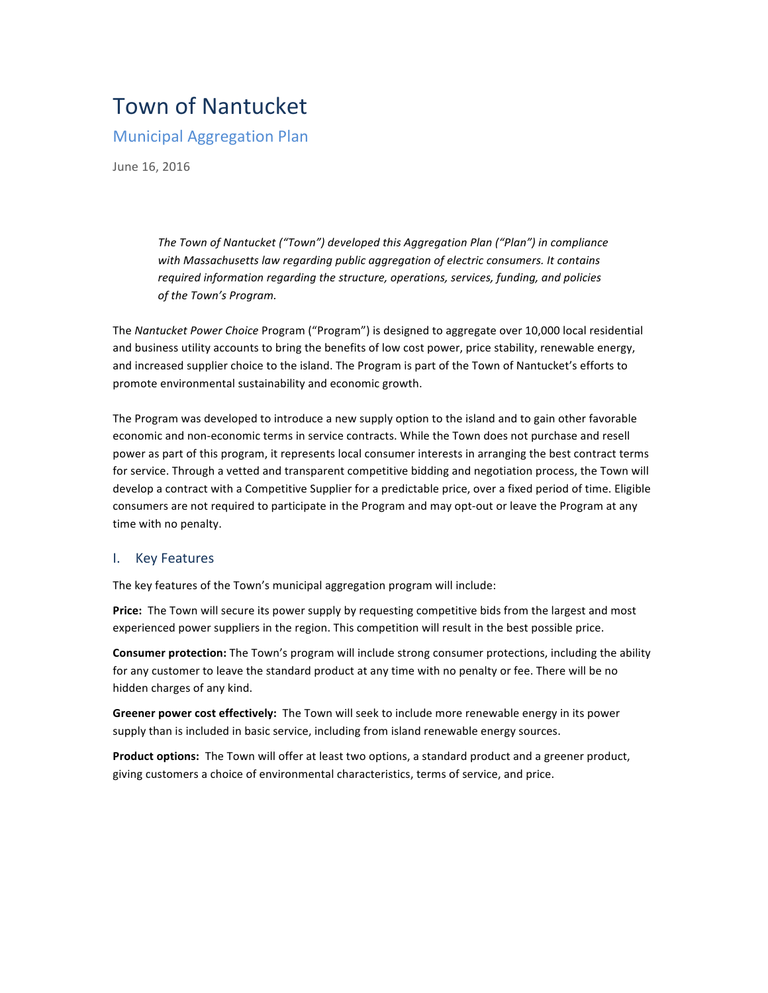# Town of Nantucket

# **Municipal Aggregation Plan**

June 16, 2016

*The Town of Nantucket ("Town") developed this Aggregation Plan ("Plan") in compliance* with Massachusetts law regarding public aggregation of electric consumers. It contains *required information regarding the structure, operations, services, funding, and policies* of the Town's Program.

The Nantucket Power Choice Program ("Program") is designed to aggregate over 10,000 local residential and business utility accounts to bring the benefits of low cost power, price stability, renewable energy, and increased supplier choice to the island. The Program is part of the Town of Nantucket's efforts to promote environmental sustainability and economic growth.

The Program was developed to introduce a new supply option to the island and to gain other favorable economic and non-economic terms in service contracts. While the Town does not purchase and resell power as part of this program, it represents local consumer interests in arranging the best contract terms for service. Through a vetted and transparent competitive bidding and negotiation process, the Town will develop a contract with a Competitive Supplier for a predictable price, over a fixed period of time. Eligible consumers are not required to participate in the Program and may opt-out or leave the Program at any time with no penalty.

### I. Key Features

The key features of the Town's municipal aggregation program will include:

**Price:** The Town will secure its power supply by requesting competitive bids from the largest and most experienced power suppliers in the region. This competition will result in the best possible price.

Consumer protection: The Town's program will include strong consumer protections, including the ability for any customer to leave the standard product at any time with no penalty or fee. There will be no hidden charges of any kind.

Greener power cost effectively: The Town will seek to include more renewable energy in its power supply than is included in basic service, including from island renewable energy sources.

Product options: The Town will offer at least two options, a standard product and a greener product, giving customers a choice of environmental characteristics, terms of service, and price.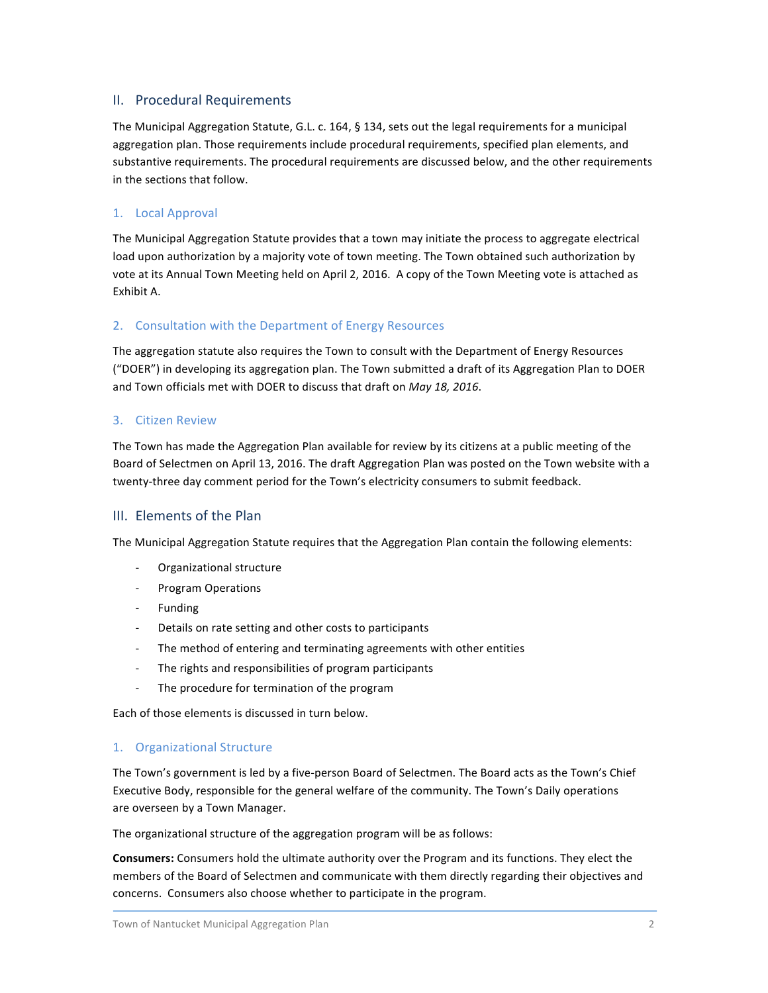### II. Procedural Requirements

The Municipal Aggregation Statute, G.L. c. 164, § 134, sets out the legal requirements for a municipal aggregation plan. Those requirements include procedural requirements, specified plan elements, and substantive requirements. The procedural requirements are discussed below, and the other requirements in the sections that follow.

### 1. Local Approval

The Municipal Aggregation Statute provides that a town may initiate the process to aggregate electrical load upon authorization by a majority vote of town meeting. The Town obtained such authorization by vote at its Annual Town Meeting held on April 2, 2016. A copy of the Town Meeting vote is attached as Exhibit A.

### 2. Consultation with the Department of Energy Resources

The aggregation statute also requires the Town to consult with the Department of Energy Resources ("DOER") in developing its aggregation plan. The Town submitted a draft of its Aggregation Plan to DOER and Town officials met with DOER to discuss that draft on *May 18, 2016*.

### 3. Citizen Review

The Town has made the Aggregation Plan available for review by its citizens at a public meeting of the Board of Selectmen on April 13, 2016. The draft Aggregation Plan was posted on the Town website with a twenty-three day comment period for the Town's electricity consumers to submit feedback.

### III. Elements of the Plan

The Municipal Aggregation Statute requires that the Aggregation Plan contain the following elements:

- Organizational structure
- Program Operations
- **Funding**
- Details on rate setting and other costs to participants
- The method of entering and terminating agreements with other entities
- The rights and responsibilities of program participants
- The procedure for termination of the program

Each of those elements is discussed in turn below.

### 1. Organizational Structure

The Town's government is led by a five-person Board of Selectmen. The Board acts as the Town's Chief Executive Body, responsible for the general welfare of the community. The Town's Daily operations are overseen by a Town Manager.

The organizational structure of the aggregation program will be as follows:

Consumers: Consumers hold the ultimate authority over the Program and its functions. They elect the members of the Board of Selectmen and communicate with them directly regarding their objectives and concerns. Consumers also choose whether to participate in the program.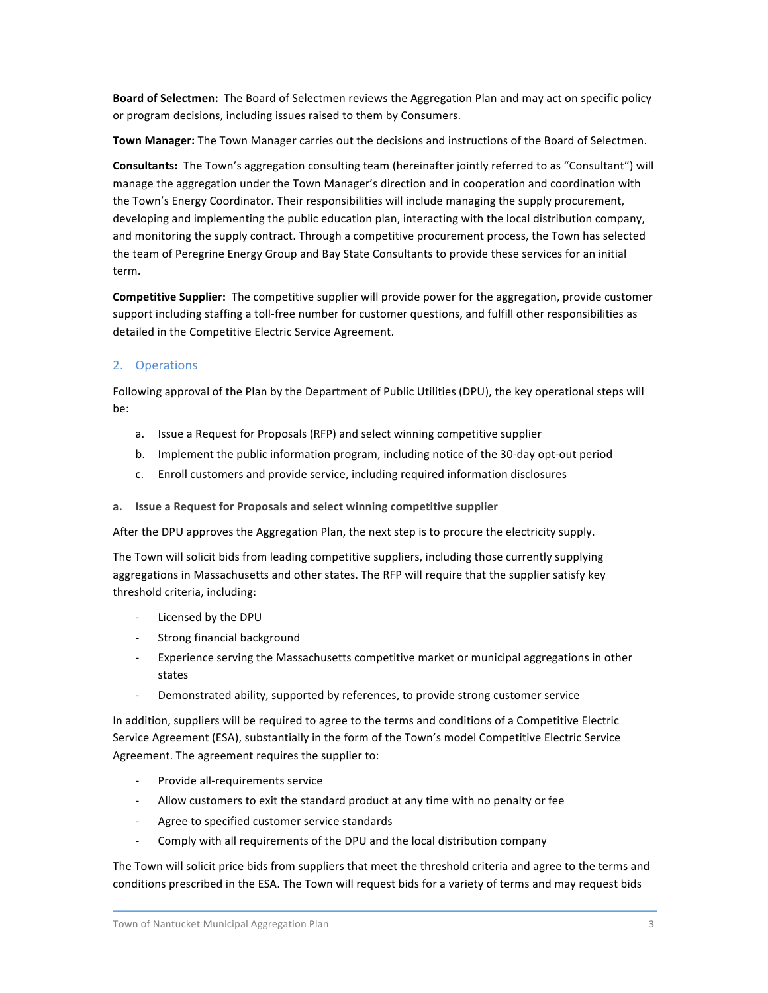Board of Selectmen: The Board of Selectmen reviews the Aggregation Plan and may act on specific policy or program decisions, including issues raised to them by Consumers.

Town Manager: The Town Manager carries out the decisions and instructions of the Board of Selectmen.

Consultants: The Town's aggregation consulting team (hereinafter jointly referred to as "Consultant") will manage the aggregation under the Town Manager's direction and in cooperation and coordination with the Town's Energy Coordinator. Their responsibilities will include managing the supply procurement, developing and implementing the public education plan, interacting with the local distribution company, and monitoring the supply contract. Through a competitive procurement process, the Town has selected the team of Peregrine Energy Group and Bay State Consultants to provide these services for an initial term.

Competitive Supplier: The competitive supplier will provide power for the aggregation, provide customer support including staffing a toll-free number for customer questions, and fulfill other responsibilities as detailed in the Competitive Electric Service Agreement.

### 2. Operations

Following approval of the Plan by the Department of Public Utilities (DPU), the key operational steps will be:

- a. Issue a Request for Proposals (RFP) and select winning competitive supplier
- b. Implement the public information program, including notice of the 30-day opt-out period
- c. Enroll customers and provide service, including required information disclosures
- **a. Issue'a'Request'for'Proposals and'select'winning'competitive'supplier**

After the DPU approves the Aggregation Plan, the next step is to procure the electricity supply.

The Town will solicit bids from leading competitive suppliers, including those currently supplying aggregations in Massachusetts and other states. The RFP will require that the supplier satisfy key threshold criteria, including:

- Licensed by the DPU
- Strong financial background
- Experience serving the Massachusetts competitive market or municipal aggregations in other states
- Demonstrated ability, supported by references, to provide strong customer service

In addition, suppliers will be required to agree to the terms and conditions of a Competitive Electric Service Agreement (ESA), substantially in the form of the Town's model Competitive Electric Service Agreement. The agreement requires the supplier to:

- Provide all-requirements service
- Allow customers to exit the standard product at any time with no penalty or fee
- Agree to specified customer service standards
- Comply with all requirements of the DPU and the local distribution company

The Town will solicit price bids from suppliers that meet the threshold criteria and agree to the terms and conditions prescribed in the ESA. The Town will request bids for a variety of terms and may request bids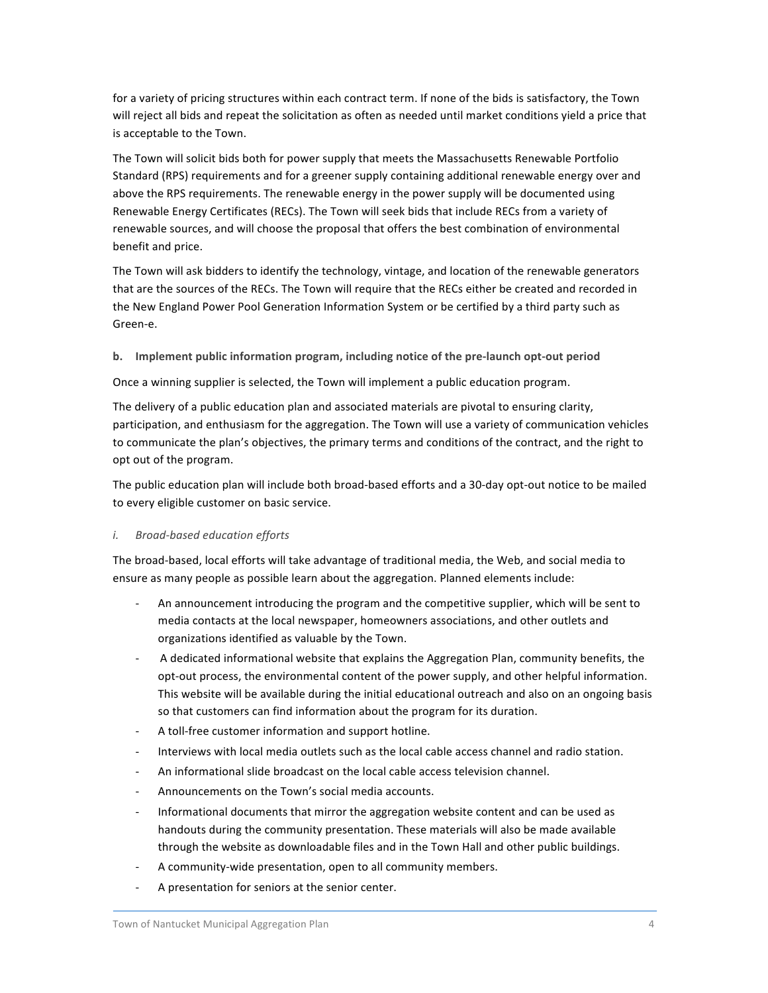for a variety of pricing structures within each contract term. If none of the bids is satisfactory, the Town will reject all bids and repeat the solicitation as often as needed until market conditions yield a price that is acceptable to the Town.

The Town will solicit bids both for power supply that meets the Massachusetts Renewable Portfolio Standard (RPS) requirements and for a greener supply containing additional renewable energy over and above the RPS requirements. The renewable energy in the power supply will be documented using Renewable Energy Certificates (RECs). The Town will seek bids that include RECs from a variety of renewable sources, and will choose the proposal that offers the best combination of environmental benefit and price.

The Town will ask bidders to identify the technology, vintage, and location of the renewable generators that are the sources of the RECs. The Town will require that the RECs either be created and recorded in the New England Power Pool Generation Information System or be certified by a third party such as Green-e.

**b.** Implement public information program, including notice of the pre-launch opt-out period

Once a winning supplier is selected, the Town will implement a public education program.

The delivery of a public education plan and associated materials are pivotal to ensuring clarity, participation, and enthusiasm for the aggregation. The Town will use a variety of communication vehicles to communicate the plan's objectives, the primary terms and conditions of the contract, and the right to opt out of the program.

The public education plan will include both broad-based efforts and a 30-day opt-out notice to be mailed to every eligible customer on basic service.

### *i.* Broad-based education efforts

The broad-based, local efforts will take advantage of traditional media, the Web, and social media to ensure as many people as possible learn about the aggregation. Planned elements include:

- An announcement introducing the program and the competitive supplier, which will be sent to media contacts at the local newspaper, homeowners associations, and other outlets and organizations identified as valuable by the Town.
- A dedicated informational website that explains the Aggregation Plan, community benefits, the opt-out process, the environmental content of the power supply, and other helpful information. This website will be available during the initial educational outreach and also on an ongoing basis so that customers can find information about the program for its duration.
- A toll-free customer information and support hotline.
- Interviews with local media outlets such as the local cable access channel and radio station.
- An informational slide broadcast on the local cable access television channel.
- Announcements on the Town's social media accounts.
- Informational documents that mirror the aggregation website content and can be used as handouts during the community presentation. These materials will also be made available through the website as downloadable files and in the Town Hall and other public buildings.
- A community-wide presentation, open to all community members.
- A presentation for seniors at the senior center.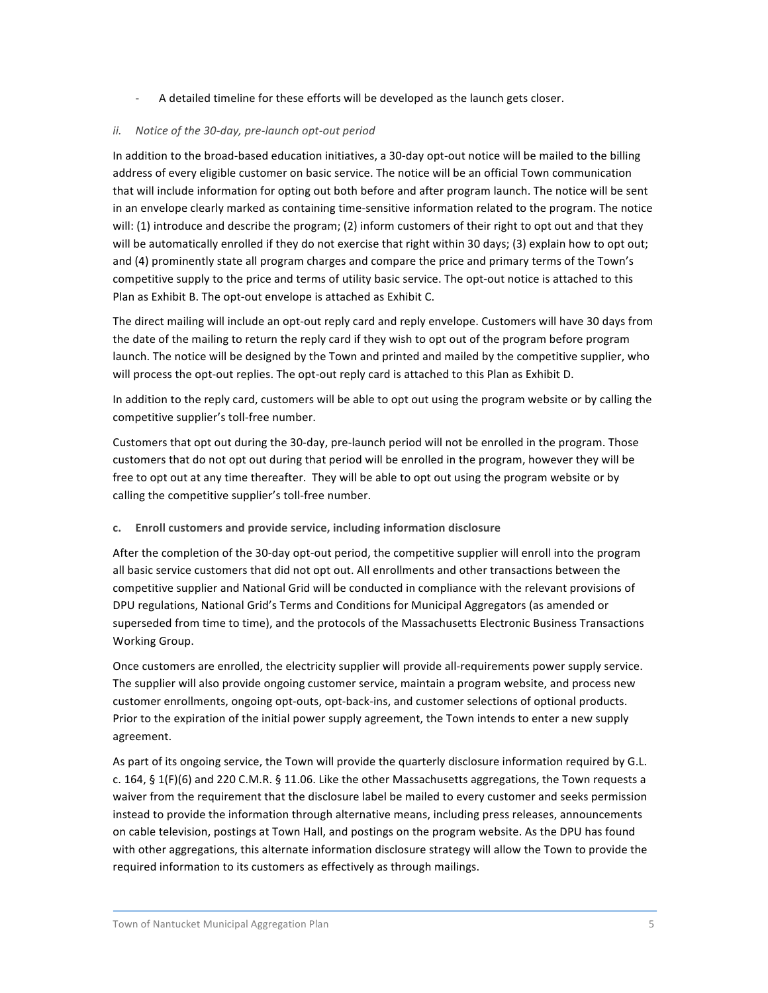- A detailed timeline for these efforts will be developed as the launch gets closer.

### *ii.* Notice of the 30-day, pre-launch opt-out period

In addition to the broad-based education initiatives, a 30-day opt-out notice will be mailed to the billing address of every eligible customer on basic service. The notice will be an official Town communication that will include information for opting out both before and after program launch. The notice will be sent in an envelope clearly marked as containing time-sensitive information related to the program. The notice will: (1) introduce and describe the program; (2) inform customers of their right to opt out and that they will be automatically enrolled if they do not exercise that right within 30 days; (3) explain how to opt out; and (4) prominently state all program charges and compare the price and primary terms of the Town's competitive supply to the price and terms of utility basic service. The opt-out notice is attached to this Plan as Exhibit B. The opt-out envelope is attached as Exhibit C.

The direct mailing will include an opt-out reply card and reply envelope. Customers will have 30 days from the date of the mailing to return the reply card if they wish to opt out of the program before program launch. The notice will be designed by the Town and printed and mailed by the competitive supplier, who will process the opt-out replies. The opt-out reply card is attached to this Plan as Exhibit D.

In addition to the reply card, customers will be able to opt out using the program website or by calling the competitive supplier's toll-free number.

Customers that opt out during the 30-day, pre-launch period will not be enrolled in the program. Those customers that do not opt out during that period will be enrolled in the program, however they will be free to opt out at any time thereafter. They will be able to opt out using the program website or by calling the competitive supplier's toll-free number.

### **c. Enroll'customers'and'provide'service,'including'information'disclosure**

After the completion of the 30-day opt-out period, the competitive supplier will enroll into the program all basic service customers that did not opt out. All enrollments and other transactions between the competitive supplier and National Grid will be conducted in compliance with the relevant provisions of DPU regulations, National Grid's Terms and Conditions for Municipal Aggregators (as amended or superseded from time to time), and the protocols of the Massachusetts Electronic Business Transactions Working Group.

Once customers are enrolled, the electricity supplier will provide all-requirements power supply service. The supplier will also provide ongoing customer service, maintain a program website, and process new customer enrollments, ongoing opt-outs, opt-back-ins, and customer selections of optional products. Prior to the expiration of the initial power supply agreement, the Town intends to enter a new supply agreement.

As part of its ongoing service, the Town will provide the quarterly disclosure information required by G.L. c. 164, § 1(F)(6) and 220 C.M.R. § 11.06. Like the other Massachusetts aggregations, the Town requests a waiver from the requirement that the disclosure label be mailed to every customer and seeks permission instead to provide the information through alternative means, including press releases, announcements on cable television, postings at Town Hall, and postings on the program website. As the DPU has found with other aggregations, this alternate information disclosure strategy will allow the Town to provide the required information to its customers as effectively as through mailings.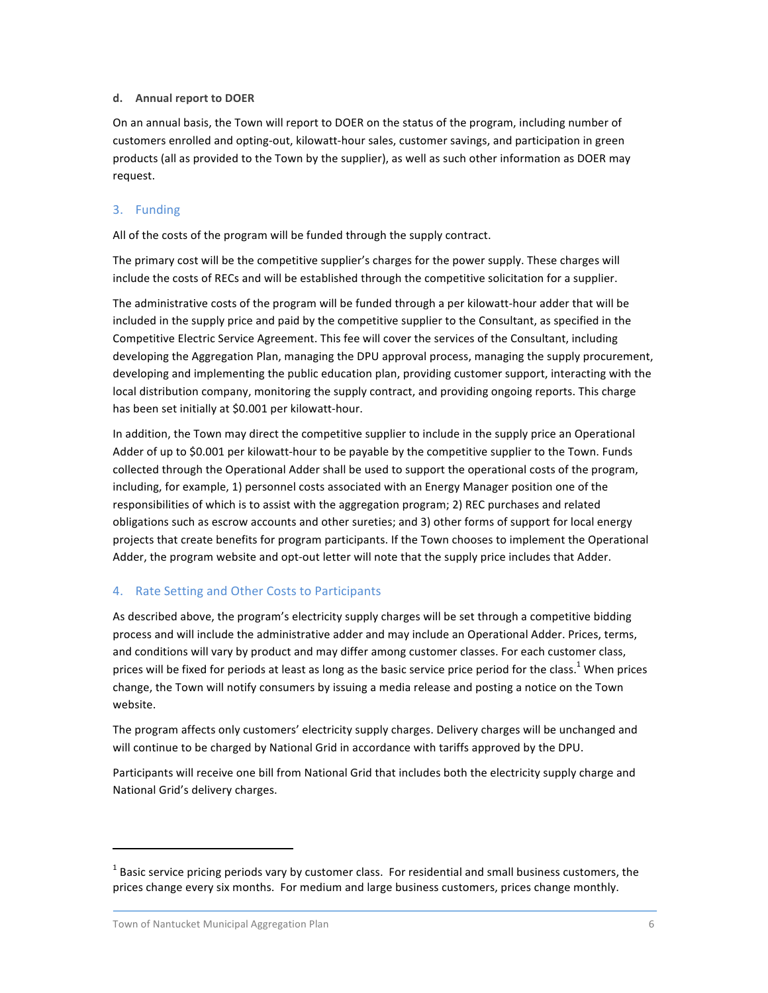#### **d. Annual'report'to'DOER**

On an annual basis, the Town will report to DOER on the status of the program, including number of customers enrolled and opting-out, kilowatt-hour sales, customer savings, and participation in green products (all as provided to the Town by the supplier), as well as such other information as DOER may request.

### 3. Funding

All of the costs of the program will be funded through the supply contract.

The primary cost will be the competitive supplier's charges for the power supply. These charges will include the costs of RECs and will be established through the competitive solicitation for a supplier.

The administrative costs of the program will be funded through a per kilowatt-hour adder that will be included in the supply price and paid by the competitive supplier to the Consultant, as specified in the Competitive Electric Service Agreement. This fee will cover the services of the Consultant, including developing the Aggregation Plan, managing the DPU approval process, managing the supply procurement, developing and implementing the public education plan, providing customer support, interacting with the local distribution company, monitoring the supply contract, and providing ongoing reports. This charge has been set initially at \$0.001 per kilowatt-hour.

In addition, the Town may direct the competitive supplier to include in the supply price an Operational Adder of up to \$0.001 per kilowatt-hour to be payable by the competitive supplier to the Town. Funds collected through the Operational Adder shall be used to support the operational costs of the program, including, for example, 1) personnel costs associated with an Energy Manager position one of the responsibilities of which is to assist with the aggregation program; 2) REC purchases and related obligations such as escrow accounts and other sureties; and 3) other forms of support for local energy projects that create benefits for program participants. If the Town chooses to implement the Operational Adder, the program website and opt-out letter will note that the supply price includes that Adder.

### 4. Rate Setting and Other Costs to Participants

As described above, the program's electricity supply charges will be set through a competitive bidding process and will include the administrative adder and may include an Operational Adder. Prices, terms, and conditions will vary by product and may differ among customer classes. For each customer class, prices will be fixed for periods at least as long as the basic service price period for the class.<sup>1</sup> When prices change, the Town will notify consumers by issuing a media release and posting a notice on the Town website.

The program affects only customers' electricity supply charges. Delivery charges will be unchanged and will continue to be charged by National Grid in accordance with tariffs approved by the DPU.

Participants will receive one bill from National Grid that includes both the electricity supply charge and National Grid's delivery charges.

 $\,$  %  $\,$  %  $\,$  %  $\,$  %  $\,$  %  $\,$  %  $\,$  %  $\,$  %  $\,$  %  $\,$  %  $\,$  %  $\,$  %  $\,$  %  $\,$  %  $\,$  %  $\,$  %  $\,$  %  $\,$  %  $\,$  %  $\,$  %  $\,$  %  $\,$  %  $\,$  %  $\,$  %  $\,$  %  $\,$  %  $\,$  %  $\,$  %  $\,$  %  $\,$  %  $\,$  %  $\,$ 

 $1$  Basic service pricing periods vary by customer class. For residential and small business customers, the prices change every six months. For medium and large business customers, prices change monthly.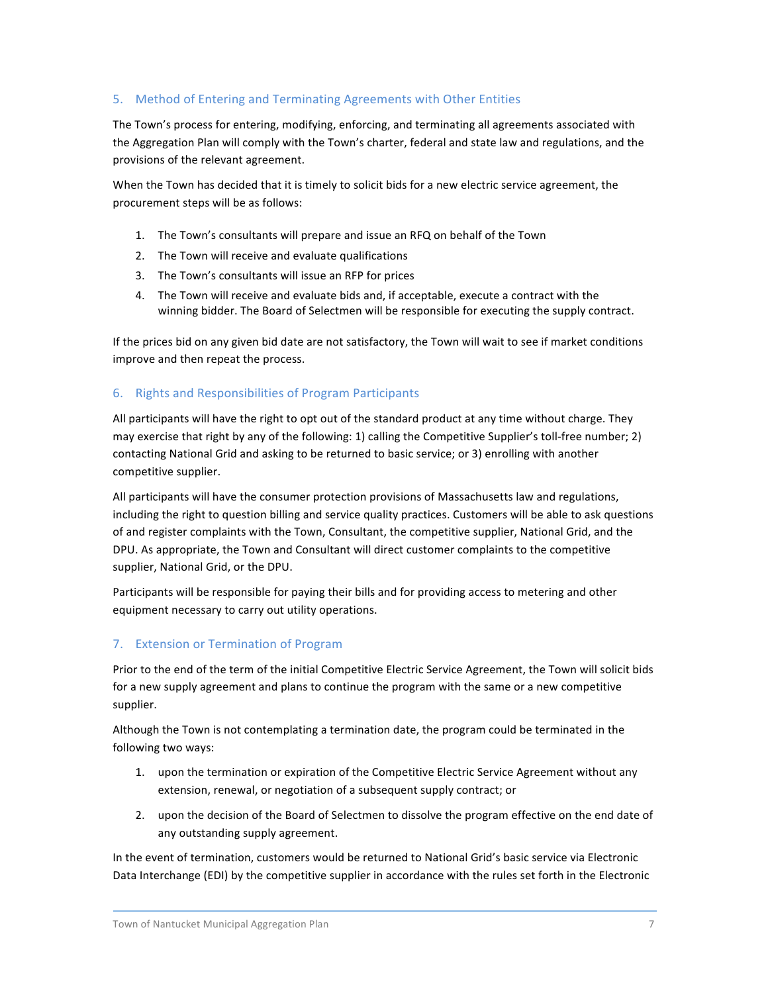### 5. Method of Entering and Terminating Agreements with Other Entities

The Town's process for entering, modifying, enforcing, and terminating all agreements associated with the Aggregation Plan will comply with the Town's charter, federal and state law and regulations, and the provisions of the relevant agreement.

When the Town has decided that it is timely to solicit bids for a new electric service agreement, the procurement steps will be as follows:

- 1. The Town's consultants will prepare and issue an RFQ on behalf of the Town
- 2. The Town will receive and evaluate qualifications
- 3. The Town's consultants will issue an RFP for prices
- 4. The Town will receive and evaluate bids and, if acceptable, execute a contract with the winning bidder. The Board of Selectmen will be responsible for executing the supply contract.

If the prices bid on any given bid date are not satisfactory, the Town will wait to see if market conditions improve and then repeat the process.

### 6. Rights and Responsibilities of Program Participants

All participants will have the right to opt out of the standard product at any time without charge. They may exercise that right by any of the following: 1) calling the Competitive Supplier's toll-free number; 2) contacting National Grid and asking to be returned to basic service; or 3) enrolling with another competitive supplier.

All participants will have the consumer protection provisions of Massachusetts law and regulations, including the right to question billing and service quality practices. Customers will be able to ask questions of and register complaints with the Town, Consultant, the competitive supplier, National Grid, and the DPU. As appropriate, the Town and Consultant will direct customer complaints to the competitive supplier, National Grid, or the DPU.

Participants will be responsible for paying their bills and for providing access to metering and other equipment necessary to carry out utility operations.

### 7. Extension or Termination of Program

Prior to the end of the term of the initial Competitive Electric Service Agreement, the Town will solicit bids for a new supply agreement and plans to continue the program with the same or a new competitive supplier.

Although the Town is not contemplating a termination date, the program could be terminated in the following two ways:

- 1. upon the termination or expiration of the Competitive Electric Service Agreement without any extension, renewal, or negotiation of a subsequent supply contract; or
- 2. upon the decision of the Board of Selectmen to dissolve the program effective on the end date of any outstanding supply agreement.

In the event of termination, customers would be returned to National Grid's basic service via Electronic Data Interchange (EDI) by the competitive supplier in accordance with the rules set forth in the Electronic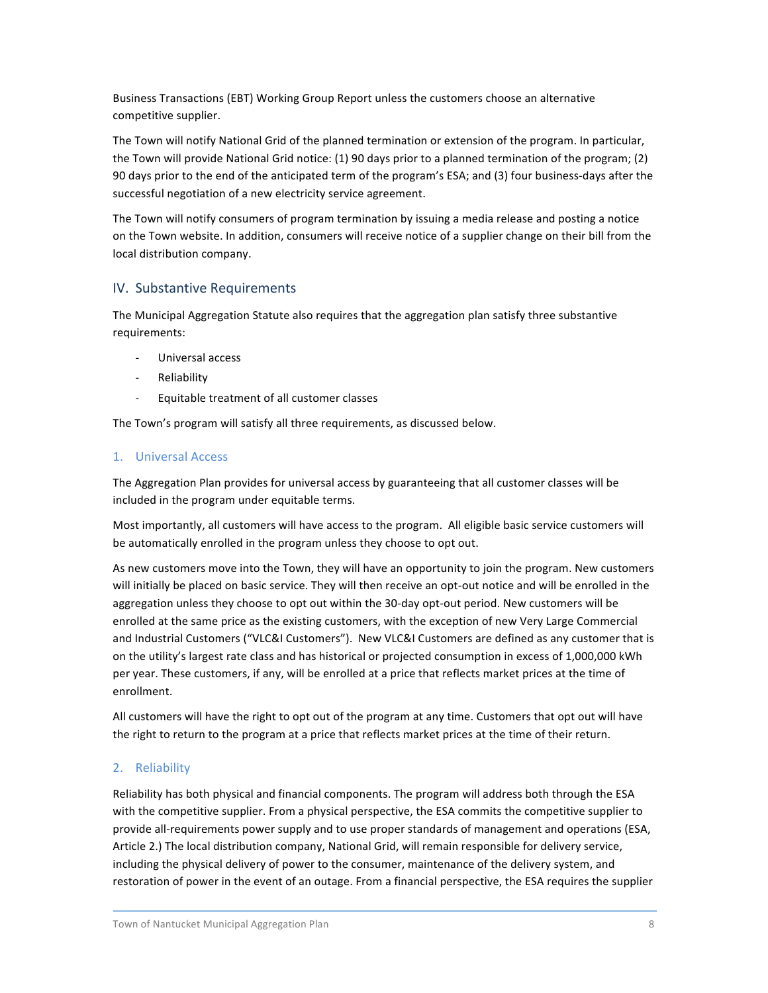Business Transactions (EBT) Working Group Report unless the customers choose an alternative competitive supplier.

The Town will notify National Grid of the planned termination or extension of the program. In particular, the Town will provide National Grid notice: (1) 90 days prior to a planned termination of the program; (2) 90 days prior to the end of the anticipated term of the program's ESA; and (3) four business-days after the successful negotiation of a new electricity service agreement.

The Town will notify consumers of program termination by issuing a media release and posting a notice on the Town website. In addition, consumers will receive notice of a supplier change on their bill from the local distribution company.

## IV. Substantive Requirements

The Municipal Aggregation Statute also requires that the aggregation plan satisfy three substantive requirements:

- Universal access
- Reliability
- Equitable treatment of all customer classes

The Town's program will satisfy all three requirements, as discussed below.

### 1. Universal Access

The Aggregation Plan provides for universal access by guaranteeing that all customer classes will be included in the program under equitable terms.

Most importantly, all customers will have access to the program. All eligible basic service customers will be automatically enrolled in the program unless they choose to opt out.

As new customers move into the Town, they will have an opportunity to join the program. New customers will initially be placed on basic service. They will then receive an opt-out notice and will be enrolled in the aggregation unless they choose to opt out within the 30-day opt-out period. New customers will be enrolled at the same price as the existing customers, with the exception of new Very Large Commercial and Industrial Customers ("VLC&I Customers"). New VLC&I Customers are defined as any customer that is on the utility's largest rate class and has historical or projected consumption in excess of 1,000,000 kWh per year. These customers, if any, will be enrolled at a price that reflects market prices at the time of enrollment.

All customers will have the right to opt out of the program at any time. Customers that opt out will have the right to return to the program at a price that reflects market prices at the time of their return.

### 2. Reliability

Reliability has both physical and financial components. The program will address both through the ESA with the competitive supplier. From a physical perspective, the ESA commits the competitive supplier to provide all-requirements power supply and to use proper standards of management and operations (ESA, Article 2.) The local distribution company, National Grid, will remain responsible for delivery service, including the physical delivery of power to the consumer, maintenance of the delivery system, and restoration of power in the event of an outage. From a financial perspective, the ESA requires the supplier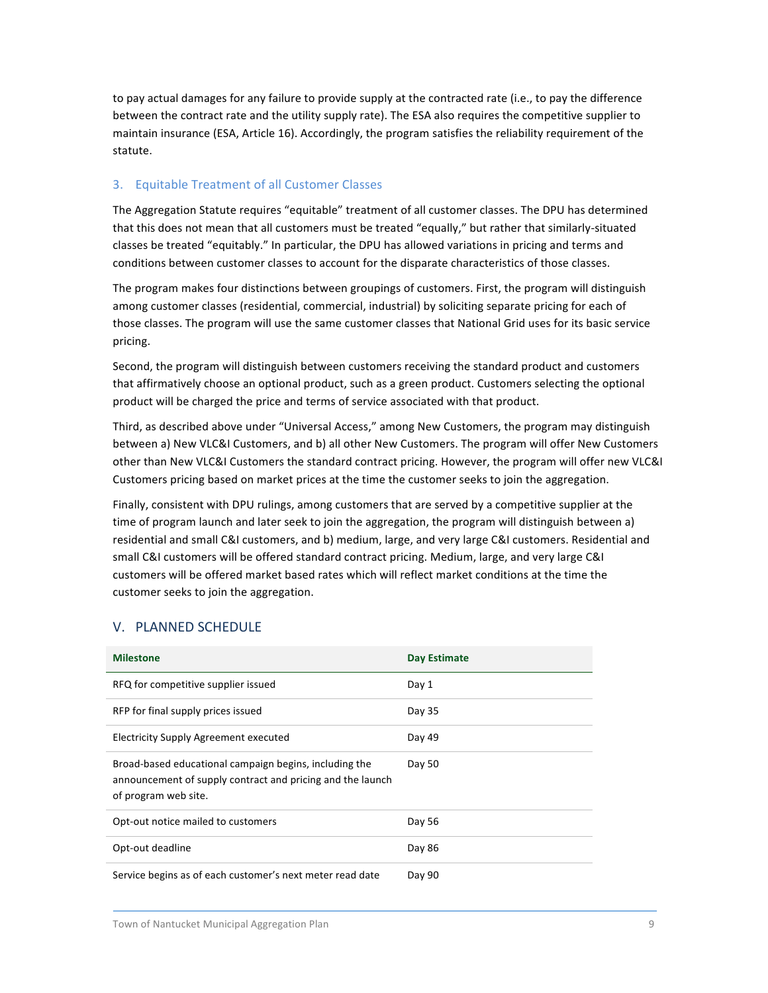to pay actual damages for any failure to provide supply at the contracted rate (i.e., to pay the difference between the contract rate and the utility supply rate). The ESA also requires the competitive supplier to maintain insurance (ESA, Article 16). Accordingly, the program satisfies the reliability requirement of the statute.

### 3. Equitable Treatment of all Customer Classes

The Aggregation Statute requires "equitable" treatment of all customer classes. The DPU has determined that this does not mean that all customers must be treated "equally," but rather that similarly-situated classes be treated "equitably." In particular, the DPU has allowed variations in pricing and terms and conditions between customer classes to account for the disparate characteristics of those classes.

The program makes four distinctions between groupings of customers. First, the program will distinguish among customer classes (residential, commercial, industrial) by soliciting separate pricing for each of those classes. The program will use the same customer classes that National Grid uses for its basic service pricing.

Second, the program will distinguish between customers receiving the standard product and customers that affirmatively choose an optional product, such as a green product. Customers selecting the optional product will be charged the price and terms of service associated with that product.

Third, as described above under "Universal Access," among New Customers, the program may distinguish between a) New VLC&I Customers, and b) all other New Customers. The program will offer New Customers other than New VLC&I Customers the standard contract pricing. However, the program will offer new VLC&I Customers pricing based on market prices at the time the customer seeks to join the aggregation.

Finally, consistent with DPU rulings, among customers that are served by a competitive supplier at the time of program launch and later seek to join the aggregation, the program will distinguish between a) residential and small C&I customers, and b) medium, large, and very large C&I customers. Residential and small C&I customers will be offered standard contract pricing. Medium, large, and very large C&I customers will be offered market based rates which will reflect market conditions at the time the customer seeks to join the aggregation.

## V. PLANNED SCHEDULE

| <b>Milestone</b>                                                                                                                             | <b>Day Estimate</b> |
|----------------------------------------------------------------------------------------------------------------------------------------------|---------------------|
| RFQ for competitive supplier issued                                                                                                          | Day 1               |
| RFP for final supply prices issued                                                                                                           | Day 35              |
| <b>Electricity Supply Agreement executed</b>                                                                                                 | Day 49              |
| Broad-based educational campaign begins, including the<br>announcement of supply contract and pricing and the launch<br>of program web site. | Day 50              |
| Opt-out notice mailed to customers                                                                                                           | Day 56              |
| Opt-out deadline                                                                                                                             | Day 86              |
| Service begins as of each customer's next meter read date                                                                                    | Day 90              |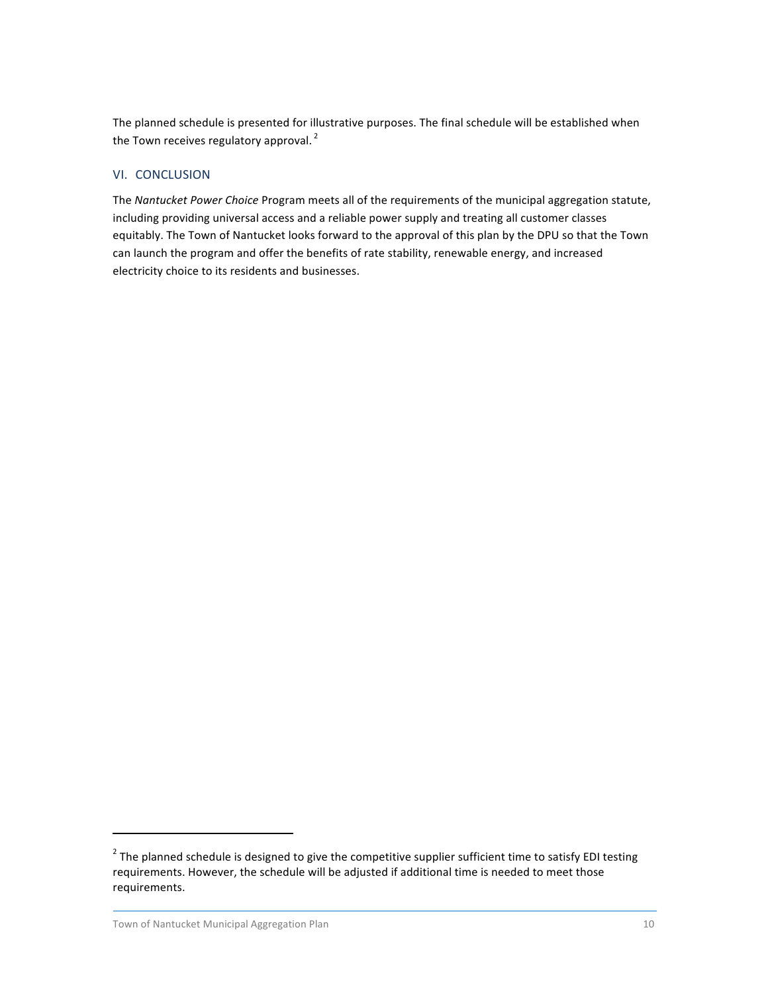The planned schedule is presented for illustrative purposes. The final schedule will be established when the Town receives regulatory approval.<sup>2</sup>

### VI. CONCLUSION

The *Nantucket Power Choice* Program meets all of the requirements of the municipal aggregation statute, including providing universal access and a reliable power supply and treating all customer classes equitably. The Town of Nantucket looks forward to the approval of this plan by the DPU so that the Town can launch the program and offer the benefits of rate stability, renewable energy, and increased electricity choice to its residents and businesses.

 $\,$  %  $\,$  %  $\,$  %  $\,$  %  $\,$  %  $\,$  %  $\,$  %  $\,$  %  $\,$  %  $\,$  %  $\,$  %  $\,$  %  $\,$  %  $\,$  %  $\,$  %  $\,$  %  $\,$  %  $\,$  %  $\,$  %  $\,$  %  $\,$  %  $\,$  %  $\,$  %  $\,$  %  $\,$  %  $\,$  %  $\,$  %  $\,$  %  $\,$  %  $\,$  %  $\,$  %  $\,$ 

 $2$  The planned schedule is designed to give the competitive supplier sufficient time to satisfy EDI testing requirements. However, the schedule will be adjusted if additional time is needed to meet those requirements.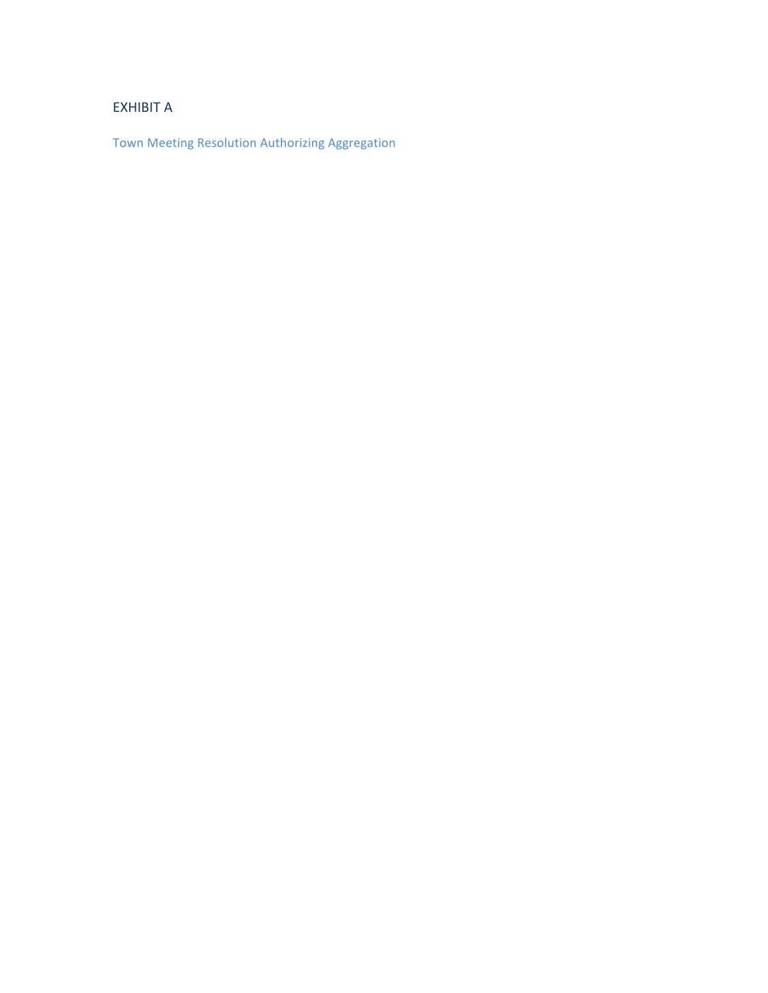# **EXHIBIT A**

Town%Meeting Resolution Authorizing%Aggregation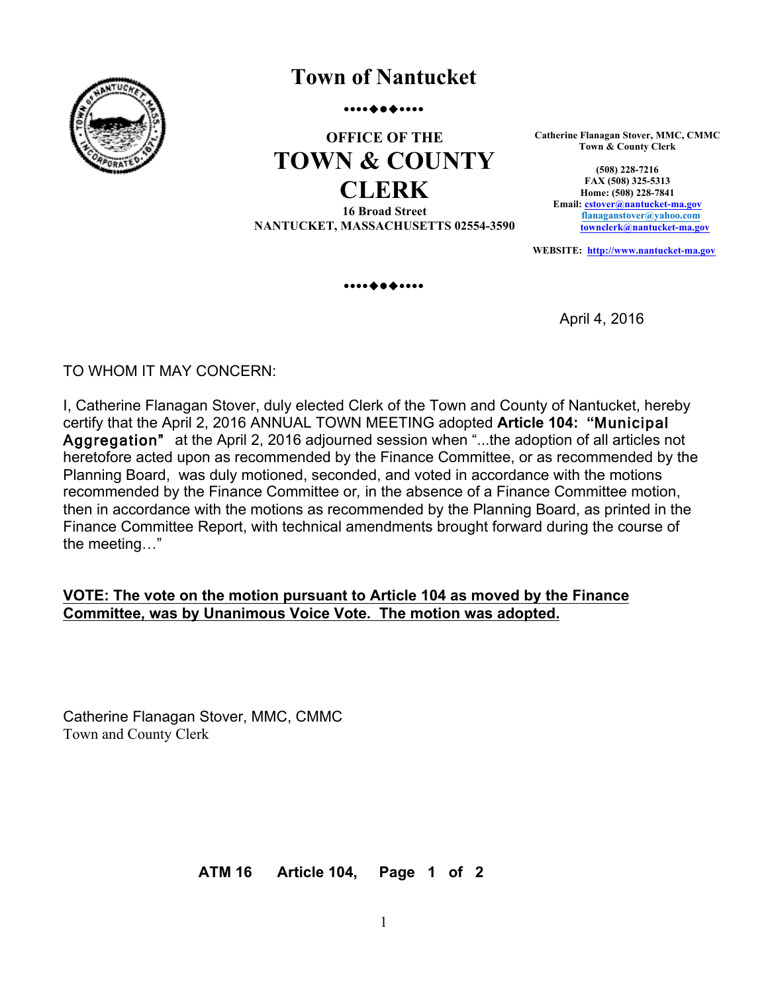

# **Town of Nantucket**

.............

# **OFFICE OF THE TOWN & COUNTY CLERK 16 Broad Street**

**NANTUCKET, MASSACHUSETTS 02554-3590**

**Catherine Flanagan Stover, MMC, CMMC Town & County Clerk**

**(508) 228-7216 FAX (508) 325-5313 Home: (508) 228-7841 Email: cstover@nantucket-ma.gov flanaganstover@yahoo.com townclerk@nantucket-ma.gov**

**WEBSITE: http://www.nantucket-ma.gov**

.............

April 4, 2016

TO WHOM IT MAY CONCERN:

I, Catherine Flanagan Stover, duly elected Clerk of the Town and County of Nantucket, hereby certify that the April 2, 2016 ANNUAL TOWN MEETING adopted **Article 104: "**Municipal Aggregation" at the April 2, 2016 adjourned session when "...the adoption of all articles not heretofore acted upon as recommended by the Finance Committee, or as recommended by the Planning Board, was duly motioned, seconded, and voted in accordance with the motions recommended by the Finance Committee or*,* in the absence of a Finance Committee motion, then in accordance with the motions as recommended by the Planning Board, as printed in the Finance Committee Report, with technical amendments brought forward during the course of the meeting…"

# **VOTE: The vote on the motion pursuant to Article 104 as moved by the Finance Committee, was by Unanimous Voice Vote. The motion was adopted.**

Catherine Flanagan Stover, MMC, CMMC Town and County Clerk

**ATM 16 Article 104, Page 1 of 2**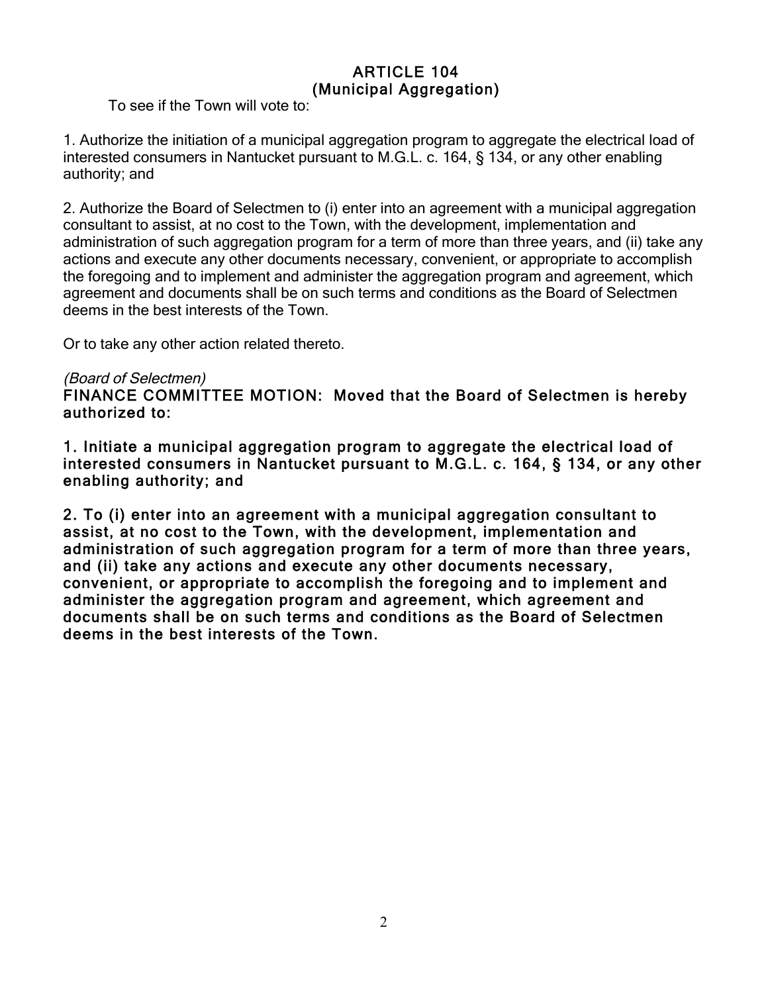# ARTICLE 104 (Municipal Aggregation)

To see if the Town will vote to:

1. Authorize the initiation of a municipal aggregation program to aggregate the electrical load of interested consumers in Nantucket pursuant to M.G.L. c. 164, § 134, or any other enabling authority; and

2. Authorize the Board of Selectmen to (i) enter into an agreement with a municipal aggregation consultant to assist, at no cost to the Town, with the development, implementation and administration of such aggregation program for a term of more than three years, and (ii) take any actions and execute any other documents necessary, convenient, or appropriate to accomplish the foregoing and to implement and administer the aggregation program and agreement, which agreement and documents shall be on such terms and conditions as the Board of Selectmen deems in the best interests of the Town.

Or to take any other action related thereto.

# (Board of Selectmen)

FINANCE COMMITTEE MOTION: Moved that the Board of Selectmen is hereby authorized to:

1. Initiate a municipal aggregation program to aggregate the electrical load of interested consumers in Nantucket pursuant to M.G.L. c. 164, § 134, or any other enabling authority; and

2. To (i) enter into an agreement with a municipal aggregation consultant to assist, at no cost to the Town, with the development, implementation and administration of such aggregation program for a term of more than three years, and (ii) take any actions and execute any other documents necessary, convenient, or appropriate to accomplish the foregoing and to implement and administer the aggregation program and agreement, which agreement and documents shall be on such terms and conditions as the Board of Selectmen deems in the best interests of the Town.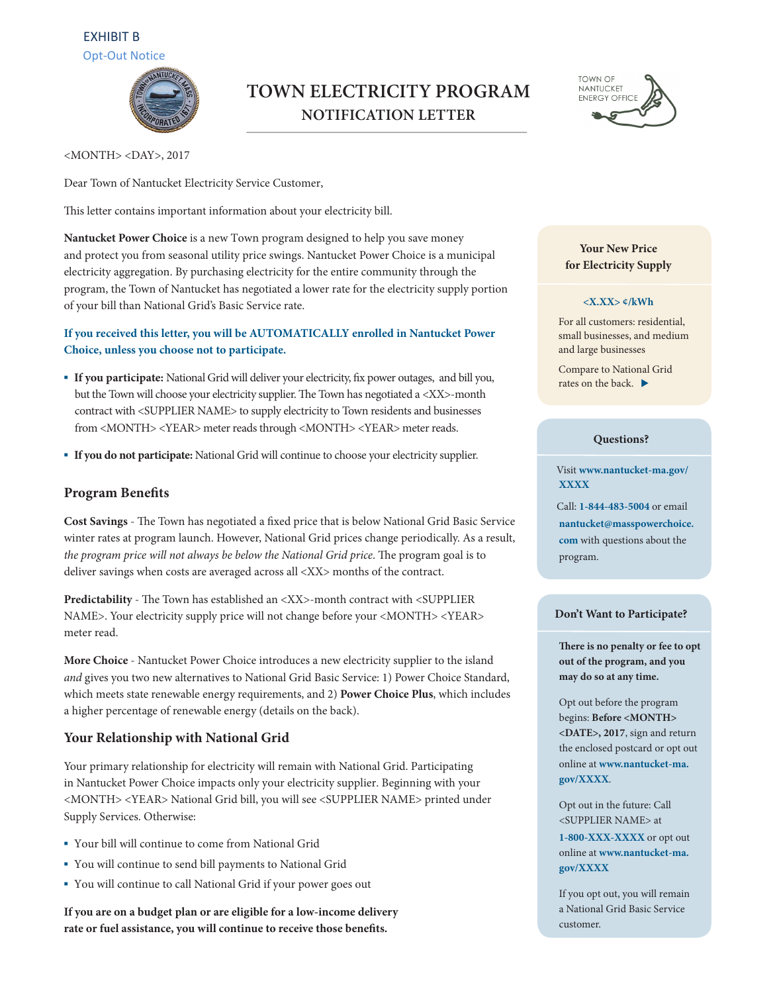# EXHIBIT B Opt-Out Notice



# **TOWN ELECTRICITY PROGRAM NOTIFICATION LETTER**



<MONTH> <DAY>, 2017

Dear Town of Nantucket Electricity Service Customer,

This letter contains important information about your electricity bill.

**Nantucket Power Choice** is a new Town program designed to help you save money and protect you from seasonal utility price swings. Nantucket Power Choice is a municipal electricity aggregation. By purchasing electricity for the entire community through the program, the Town of Nantucket has negotiated a lower rate for the electricity supply portion of your bill than National Grid's Basic Service rate.

## **If you received this letter, you will be AUTOMATICALLY enrolled in Nantucket Power Choice, unless you choose not to participate.**

- **If you participate:** National Grid will deliver your electricity, fix power outages, and bill you, but the Town will choose your electricity supplier. The Town has negotiated a <XX>-month contract with <SUPPLIER NAME> to supply electricity to Town residents and businesses from <MONTH> <YEAR> meter reads through <MONTH> <YEAR> meter reads.
- ɸ **If you do not participate:** National Grid will continue to choose your electricity supplier.

### **Program Bene!ts**

Cost Savings - The Town has negotiated a fixed price that is below National Grid Basic Service winter rates at program launch. However, National Grid prices change periodically. As a result, the program price will not always be below the National Grid price. The program goal is to deliver savings when costs are averaged across all <XX> months of the contract.

Predictability - The Town has established an <XX>-month contract with <SUPPLIER NAME>. Your electricity supply price will not change before your <MONTH> <YEAR> meter read.

**More Choice** - Nantucket Power Choice introduces a new electricity supplier to the island and gives you two new alternatives to National Grid Basic Service: 1) Power Choice Standard, which meets state renewable energy requirements, and 2) **Power Choice Plus**, which includes a higher percentage of renewable energy (details on the back).

## **Your Relationship with National Grid**

Your primary relationship for electricity will remain with National Grid. Participating in Nantucket Power Choice impacts only your electricity supplier. Beginning with your <MONTH> <YEAR> National Grid bill, you will see <SUPPLIER NAME> printed under Supply Services. Otherwise:

- ɸ Your bill will continue to come from National Grid
- ɸ You will continue to send bill payments to National Grid
- ɸ You will continue to call National Grid if your power goes out

**If you are on a budget plan or are eligible for a low-income delivery**  rate or fuel assistance, you will continue to receive those benefits.

### **Your New Price for Electricity Supply**

### **<X.XX> ¢/kWh**

For all customers: residential, small businesses, and medium and large businesses

Compare to National Grid rates on the back.  $\blacktriangleright$ 

### **Questions?**

#### Visit **www.nantucket-ma.gov/ XXXX**

Call: **1-844-483-5004** or email **nantucket@masspowerchoice. com** with questions about the program.

#### **Don't Want to Participate?**

There is no penalty or fee to opt **out of the program, and you may do so at any time.**

Opt out before the program begins: **Before <MONTH> <DATE>, 2017**, sign and return the enclosed postcard or opt out online at **www.nantucket-ma. gov/XXXX**.

Opt out in the future: Call <SUPPLIER NAME> at **1-800-XXX-XXXX** or opt out online at **www.nantucket-ma. gov/XXXX**

If you opt out, you will remain a National Grid Basic Service customer.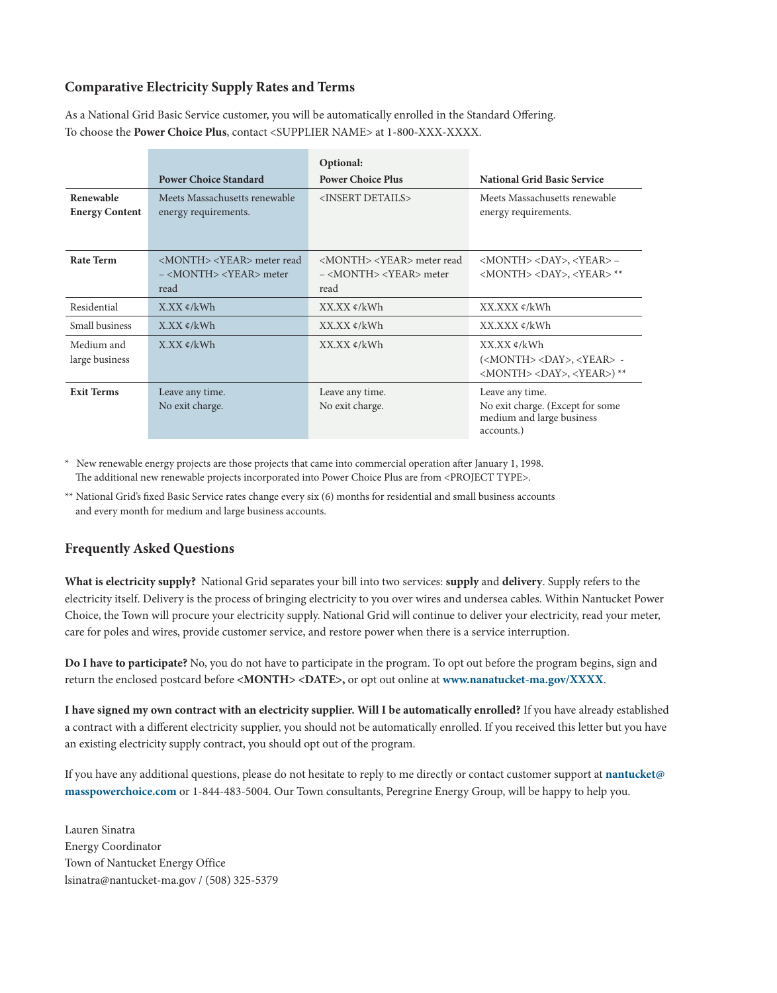## **Comparative Electricity Supply Rates and Terms**

As a National Grid Basic Service customer, you will be automatically enrolled in the Standard Offering. To choose the **Power Choice Plus**, contact <SUPPLIER NAME> at 1-800-XXX-XXXX.

|                                    |                                                                                                          | Optional:                                                                                                |                                                                                                                  |
|------------------------------------|----------------------------------------------------------------------------------------------------------|----------------------------------------------------------------------------------------------------------|------------------------------------------------------------------------------------------------------------------|
|                                    | <b>Power Choice Standard</b>                                                                             | <b>Power Choice Plus</b>                                                                                 | <b>National Grid Basic Service</b>                                                                               |
| Renewable<br><b>Energy Content</b> | Meets Massachusetts renewable<br>energy requirements.                                                    | <insert details=""></insert>                                                                             | Meets Massachusetts renewable<br>energy requirements.                                                            |
| Rate Term                          | <month> <year> meter read<br/><math>-</math> <month> <year> meter<br/>read</year></month></year></month> | <month> <year> meter read<br/><math>-</math> <month> <year> meter<br/>read</year></month></year></month> | <month> <day>, <year> -<br/><month> <day>, <year>**</year></day></month></year></day></month>                    |
| Residential                        | $X$ . $XX \notin /kWh$                                                                                   | $XX$ $XX$ $\phi$ / $kWh$                                                                                 | XX.XXX ¢/kWh                                                                                                     |
| Small business                     | $X$ .XX $\epsilon$ /kWh                                                                                  | $XX$ . $XX \notin$ /kWh                                                                                  | XX.XXX ⊄/kWh                                                                                                     |
| Medium and<br>large business       | $X$ .XX $\mathcal{L}/kWh$                                                                                | $XX$ $XX \notin$ /kWh                                                                                    | XX.XX ¢/kWh<br>( <month> <day>, <year> -<br/><month> <day>, <year>) **</year></day></month></year></day></month> |
| <b>Exit Terms</b>                  | Leave any time.<br>No exit charge.                                                                       | Leave any time.<br>No exit charge.                                                                       | Leave any time.<br>No exit charge. (Except for some<br>medium and large business<br>accounts.)                   |

New renewable energy projects are those projects that came into commercial operation after January 1, 1998. The additional new renewable projects incorporated into Power Choice Plus are from <PROJECT TYPE>.

\*\* National Grid's fixed Basic Service rates change every six (6) months for residential and small business accounts and every month for medium and large business accounts.

## **Frequently Asked Questions**

**What is electricity supply?** National Grid separates your bill into two services: **supply** and **delivery**. Supply refers to the electricity itself. Delivery is the process of bringing electricity to you over wires and undersea cables. Within Nantucket Power Choice, the Town will procure your electricity supply. National Grid will continue to deliver your electricity, read your meter, care for poles and wires, provide customer service, and restore power when there is a service interruption.

**Do I have to participate?** No, you do not have to participate in the program. To opt out before the program begins, sign and return the enclosed postcard before **<MONTH> <DATE>,** or opt out online at **www.nanatucket-ma.gov/XXXX**.

**I have signed my own contract with an electricity supplier. Will I be automatically enrolled?** If you have already established a contract with a different electricity supplier, you should not be automatically enrolled. If you received this letter but you have an existing electricity supply contract, you should opt out of the program.

If you have any additional questions, please do not hesitate to reply to me directly or contact customer support at **nantucket@ masspowerchoice.com** or 1-844-483-5004. Our Town consultants, Peregrine Energy Group, will be happy to help you.

Lauren Sinatra Energy Coordinator Town of Nantucket Energy Office lsinatra@nantucket-ma.gov / (508) 325-5379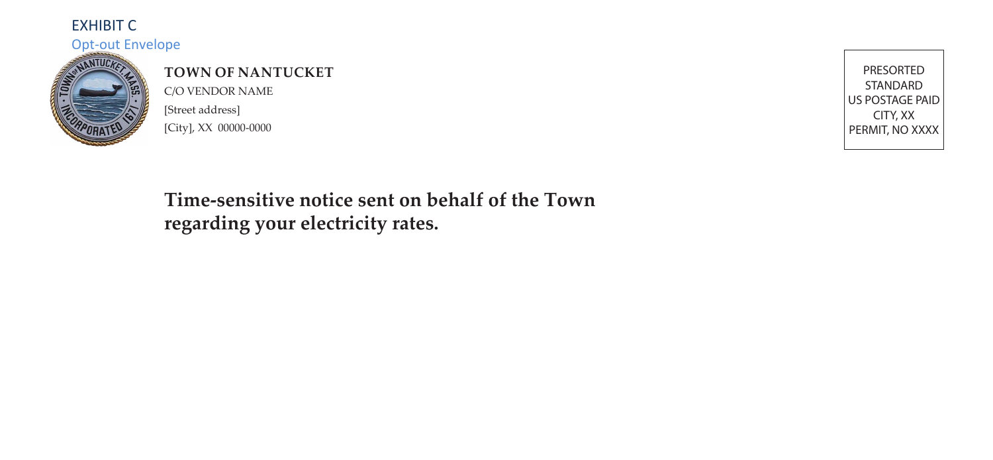## EXHIBIT C

#### Opt-out Envelope



# **TOWN OF NANTUCKET**

C/O VENDOR NAME [Street address] [City], XX 00000-0000

PRESORTED STANDARD US POSTAGE PAID CITY, XX PERMIT, NO XXXX

# **Time-sensitive notice sent on behalf of the Town regarding your electricity rates.**